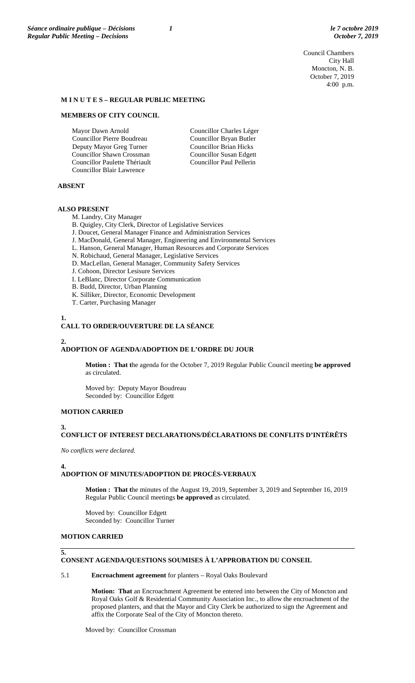Council Chambers City Hall Moncton, N. B. October 7, 2019 4:00 p.m.

#### **M I N U T E S – REGULAR PUBLIC MEETING**

#### **MEMBERS OF CITY COUNCIL**

Mayor Dawn Arnold Councillor Pierre Boudreau Deputy Mayor Greg Turner Councillor Shawn Crossman Councillor Paulette Thériault Councillor Blair Lawrence

Councillor Charles Léger Councillor Bryan Butler Councillor Brian Hicks Councillor Susan Edgett Councillor Paul Pellerin

## **ABSENT**

#### **ALSO PRESENT**

M. Landry, City Manager

B. Quigley, City Clerk, Director of Legislative Services

- J. Doucet, General Manager Finance and Administration Services
- J. MacDonald, General Manager, Engineering and Environmental Services
- L. Hanson, General Manager, Human Resources and Corporate Services
- N. Robichaud, General Manager, Legislative Services
- D. MacLellan, General Manager, Community Safety Services
- J. Cohoon, Director Lesisure Services
- I. LeBlanc, Director Corporate Communication
- B. Budd, Director, Urban Planning
- K. Silliker, Director, Economic Development
- T. Carter, Purchasing Manager

# **1.**

### **CALL TO ORDER/OUVERTURE DE LA SÉANCE**

#### **2.**

# **ADOPTION OF AGENDA/ADOPTION DE L'ORDRE DU JOUR**

**Motion : That t**he agenda for the October 7, 2019 Regular Public Council meeting **be approved**  as circulated.

Moved by: Deputy Mayor Boudreau Seconded by: Councillor Edgett

#### **MOTION CARRIED**

#### **3.**

# **CONFLICT OF INTEREST DECLARATIONS/DÉCLARATIONS DE CONFLITS D'INTÉRÊTS**

*No conflicts were declared.*

#### **4.**

#### **ADOPTION OF MINUTES/ADOPTION DE PROCÈS-VERBAUX**

**Motion : That t**he minutes of the August 19, 2019, September 3, 2019 and September 16, 2019 Regular Public Council meetings **be approved** as circulated.

Moved by: Councillor Edgett Seconded by: Councillor Turner

# **MOTION CARRIED**

#### **5.**

### **CONSENT AGENDA/QUESTIONS SOUMISES À L'APPROBATION DU CONSEIL**

#### 5.1 **Encroachment agreement** for planters – Royal Oaks Boulevard

**Motion: That** an Encroachment Agreement be entered into between the City of Moncton and Royal Oaks Golf & Residential Community Association Inc., to allow the encroachment of the proposed planters, and that the Mayor and City Clerk be authorized to sign the Agreement and affix the Corporate Seal of the City of Moncton thereto.

Moved by: Councillor Crossman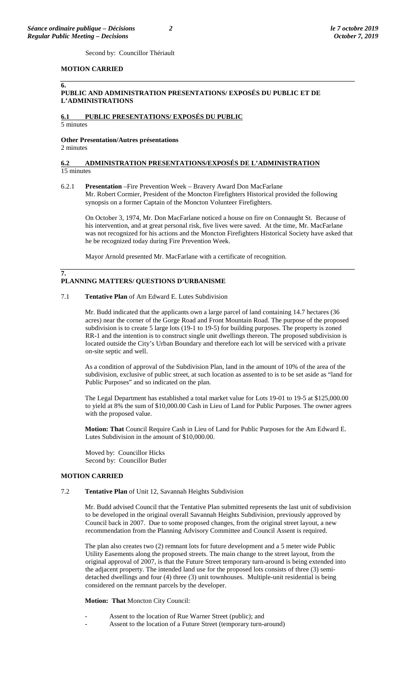Second by: Councillor Thériault

#### **MOTION CARRIED**

#### **6.**

### **PUBLIC AND ADMINISTRATION PRESENTATIONS/ EXPOSÉS DU PUBLIC ET DE L'ADMINISTRATIONS**

# **6.1 PUBLIC PRESENTATIONS/ EXPOSÉS DU PUBLIC**

5 minutes

# **Other Presentation/Autres présentations**

2 minutes

#### **6.2 ADMINISTRATION PRESENTATIONS/EXPOSÉS DE L'ADMINISTRATION**  15 minutes

#### 6.2.1 **Presentation** –Fire Prevention Week – Bravery Award Don MacFarlane Mr. Robert Cormier, President of the Moncton Firefighters Historical provided the following

synopsis on a former Captain of the Moncton Volunteer Firefighters.

On October 3, 1974, Mr. Don MacFarlane noticed a house on fire on Connaught St. Because of his intervention, and at great personal risk, five lives were saved. At the time, Mr. MacFarlane was not recognized for his actions and the Moncton Firefighters Historical Society have asked that he be recognized today during Fire Prevention Week.

Mayor Arnold presented Mr. MacFarlane with a certificate of recognition.

### **7. PLANNING MATTERS/ QUESTIONS D'URBANISME**

### 7.1 **Tentative Plan** of Am Edward E. Lutes Subdivision

Mr. Budd indicated that the applicants own a large parcel of land containing 14.7 hectares (36 acres) near the corner of the Gorge Road and Front Mountain Road. The purpose of the proposed subdivision is to create 5 large lots (19-1 to 19-5) for building purposes. The property is zoned RR-1 and the intention is to construct single unit dwellings thereon. The proposed subdivision is located outside the City's Urban Boundary and therefore each lot will be serviced with a private on-site septic and well.

As a condition of approval of the Subdivision Plan, land in the amount of 10% of the area of the subdivision, exclusive of public street, at such location as assented to is to be set aside as "land for Public Purposes" and so indicated on the plan.

The Legal Department has established a total market value for Lots 19-01 to 19-5 at \$125,000.00 to yield at 8% the sum of \$10,000.00 Cash in Lieu of Land for Public Purposes. The owner agrees with the proposed value.

**Motion: That** Council Require Cash in Lieu of Land for Public Purposes for the Am Edward E. Lutes Subdivision in the amount of \$10,000.00.

Moved by: Councillor Hicks Second by: Councillor Butler

### **MOTION CARRIED**

### 7.2 **Tentative Plan** of Unit 12, Savannah Heights Subdivision

Mr. Budd advised Council that the Tentative Plan submitted represents the last unit of subdivision to be developed in the original overall Savannah Heights Subdivision, previously approved by Council back in 2007. Due to some proposed changes, from the original street layout, a new recommendation from the Planning Advisory Committee and Council Assent is required.

The plan also creates two (2) remnant lots for future development and a 5 meter wide Public Utility Easements along the proposed streets. The main change to the street layout, from the original approval of 2007, is that the Future Street temporary turn-around is being extended into the adjacent property. The intended land use for the proposed lots consists of three (3) semidetached dwellings and four (4) three (3) unit townhouses. Multiple-unit residential is being considered on the remnant parcels by the developer.

#### **Motion: That** Moncton City Council:

- Assent to the location of Rue Warner Street (public); and
- Assent to the location of a Future Street (temporary turn-around)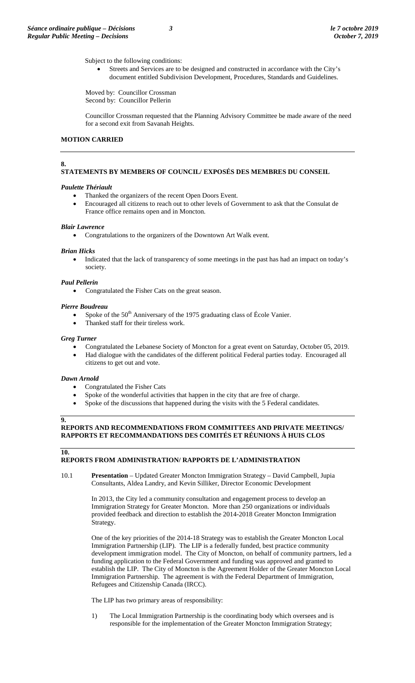Subject to the following conditions:

Streets and Services are to be designed and constructed in accordance with the City's document entitled Subdivision Development, Procedures, Standards and Guidelines.

Moved by: Councillor Crossman Second by: Councillor Pellerin

Councillor Crossman requested that the Planning Advisory Committee be made aware of the need for a second exit from Savanah Heights.

### **MOTION CARRIED**

### **8.**

# **STATEMENTS BY MEMBERS OF COUNCIL/ EXPOSÉS DES MEMBRES DU CONSEIL**

# *Paulette Thériault*

- Thanked the organizers of the recent Open Doors Event.
- Encouraged all citizens to reach out to other levels of Government to ask that the Consulat de France office remains open and in Moncton.

### *Blair Lawrence*

• Congratulations to the organizers of the Downtown Art Walk event.

#### *Brian Hicks*

• Indicated that the lack of transparency of some meetings in the past has had an impact on today's society.

#### *Paul Pellerin*

• Congratulated the Fisher Cats on the great season.

#### *Pierre Boudreau*

- Spoke of the  $50<sup>th</sup>$  Anniversary of the 1975 graduating class of École Vanier.
- Thanked staff for their tireless work.

#### *Greg Turner*

- Congratulated the Lebanese Society of Moncton for a great event on Saturday, October 05, 2019.
- Had dialogue with the candidates of the different political Federal parties today. Encouraged all citizens to get out and vote.

#### *Dawn Arnold*

- Congratulated the Fisher Cats
- Spoke of the wonderful activities that happen in the city that are free of charge.
- Spoke of the discussions that happened during the visits with the 5 Federal candidates.

# **REPORTS AND RECOMMENDATIONS FROM COMMITTEES AND PRIVATE MEETINGS/ RAPPORTS ET RECOMMANDATIONS DES COMITÉS ET RÉUNIONS À HUIS CLOS**

#### **10.**

**9.**

#### **REPORTS FROM ADMINISTRATION/ RAPPORTS DE L'ADMINISTRATION**

10.1 **Presentation** – Updated Greater Moncton Immigration Strategy – David Campbell, Jupia Consultants, Aldea Landry, and Kevin Silliker, Director Economic Development

> In 2013, the City led a community consultation and engagement process to develop an Immigration Strategy for Greater Moncton. More than 250 organizations or individuals provided feedback and direction to establish the 2014-2018 Greater Moncton Immigration Strategy.

One of the key priorities of the 2014-18 Strategy was to establish the Greater Moncton Local Immigration Partnership (LIP). The LIP is a federally funded, best practice community development immigration model. The City of Moncton, on behalf of community partners, led a funding application to the Federal Government and funding was approved and granted to establish the LIP. The City of Moncton is the Agreement Holder of the Greater Moncton Local Immigration Partnership. The agreement is with the Federal Department of Immigration, Refugees and Citizenship Canada (IRCC).

The LIP has two primary areas of responsibility:

1) The Local Immigration Partnership is the coordinating body which oversees and is responsible for the implementation of the Greater Moncton Immigration Strategy;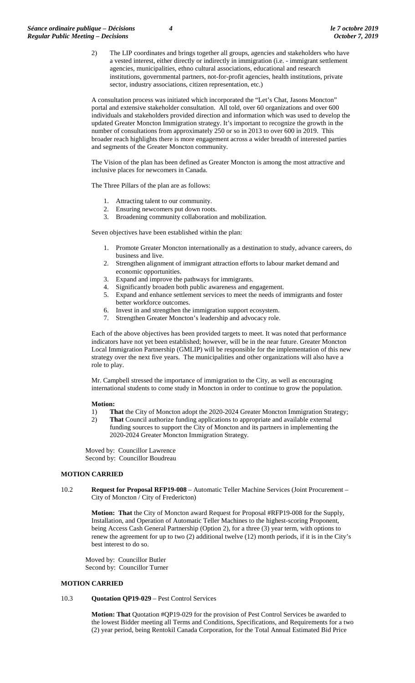2) The LIP coordinates and brings together all groups, agencies and stakeholders who have a vested interest, either directly or indirectly in immigration (i.e. - immigrant settlement agencies, municipalities, ethno cultural associations, educational and research institutions, governmental partners, not-for-profit agencies, health institutions, private sector, industry associations, citizen representation, etc.)

A consultation process was initiated which incorporated the "Let's Chat, Jasons Moncton" portal and extensive stakeholder consultation. All told, over 60 organizations and over 600 individuals and stakeholders provided direction and information which was used to develop the updated Greater Moncton Immigration strategy. It's important to recognize the growth in the number of consultations from approximately 250 or so in 2013 to over 600 in 2019. This broader reach highlights there is more engagement across a wider breadth of interested parties and segments of the Greater Moncton community.

The Vision of the plan has been defined as Greater Moncton is among the most attractive and inclusive places for newcomers in Canada.

The Three Pillars of the plan are as follows:

- 1. Attracting talent to our community.
- 2. Ensuring newcomers put down roots.
- 3. Broadening community collaboration and mobilization.

Seven objectives have been established within the plan:

- 1. Promote Greater Moncton internationally as a destination to study, advance careers, do business and live.
- 2. Strengthen alignment of immigrant attraction efforts to labour market demand and economic opportunities.
- 3. Expand and improve the pathways for immigrants.
- 4. Significantly broaden both public awareness and engagement.
- 5. Expand and enhance settlement services to meet the needs of immigrants and foster better workforce outcomes.
- 6. Invest in and strengthen the immigration support ecosystem.
- 7. Strengthen Greater Moncton's leadership and advocacy role.

Each of the above objectives has been provided targets to meet. It was noted that performance indicators have not yet been established; however, will be in the near future. Greater Moncton Local Immigration Partnership (GMLIP) will be responsible for the implementation of this new strategy over the next five years. The municipalities and other organizations will also have a role to play.

Mr. Campbell stressed the importance of immigration to the City, as well as encouraging international students to come study in Moncton in order to continue to grow the population.

#### **Motion:**

- 1) **That** the City of Moncton adopt the 2020-2024 Greater Moncton Immigration Strategy;
- 2) **That** Council authorize funding applications to appropriate and available external funding sources to support the City of Moncton and its partners in implementing the 2020-2024 Greater Moncton Immigration Strategy.

Moved by: Councillor Lawrence Second by: Councillor Boudreau

### **MOTION CARRIED**

10.2 **Request for Proposal RFP19-008** – Automatic Teller Machine Services (Joint Procurement – City of Moncton / City of Fredericton)

> **Motion: That** the City of Moncton award Request for Proposal #RFP19-008 for the Supply, Installation, and Operation of Automatic Teller Machines to the highest-scoring Proponent, being Access Cash General Partnership (Option 2), for a three (3) year term, with options to renew the agreement for up to two (2) additional twelve (12) month periods, if it is in the City's best interest to do so.

Moved by: Councillor Butler Second by: Councillor Turner

#### **MOTION CARRIED**

#### 10.3 **Quotation QP19-029** – Pest Control Services

**Motion: That** Quotation #QP19-029 for the provision of Pest Control Services be awarded to the lowest Bidder meeting all Terms and Conditions, Specifications, and Requirements for a two (2) year period, being Rentokil Canada Corporation, for the Total Annual Estimated Bid Price